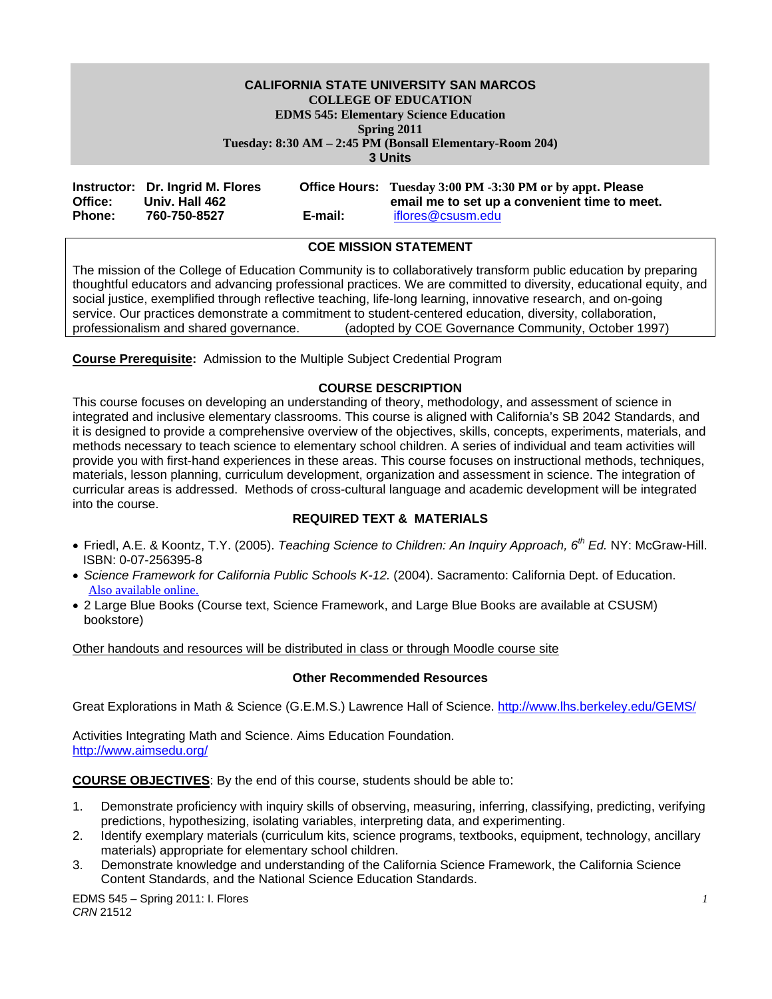# **CALIFORNIA STATE UNIVERSITY SAN MARCOS COLLEGE OF EDUCATION EDMS 545: Elementary Science Education Spring 2011 Tuesday: 8:30 AM – 2:45 PM (Bonsall Elementary-Room 204)**

**3 Units** 

|               | Instructor: Dr. Ingrid M. Flores |         | <b>Office Hours:</b> Tuesday 3:00 PM -3:30 PM or by appt. Please |
|---------------|----------------------------------|---------|------------------------------------------------------------------|
| Office:       | Univ. Hall 462                   |         | email me to set up a convenient time to meet.                    |
| <b>Phone:</b> | 760-750-8527                     | E-mail: | iflores@csusm.edu                                                |

# **COE MISSION STATEMENT**

The mission of the College of Education Community is to collaboratively transform public education by preparing thoughtful educators and advancing professional practices. We are committed to diversity, educational equity, and social justice, exemplified through reflective teaching, life-long learning, innovative research, and on-going service. Our practices demonstrate a commitment to student-centered education, diversity, collaboration, professionalism and shared governance. (adopted by COE Governance Community, October 1997)

**Course Prerequisite:** Admission to the Multiple Subject Credential Program

# **COURSE DESCRIPTION**

This course focuses on developing an understanding of theory, methodology, and assessment of science in integrated and inclusive elementary classrooms. This course is aligned with California's SB 2042 Standards, and it is designed to provide a comprehensive overview of the objectives, skills, concepts, experiments, materials, and methods necessary to teach science to elementary school children. A series of individual and team activities will provide you with first-hand experiences in these areas. This course focuses on instructional methods, techniques, materials, lesson planning, curriculum development, organization and assessment in science. The integration of curricular areas is addressed. Methods of cross-cultural language and academic development will be integrated into the course.

#### **REQUIRED TEXT & MATERIALS**

- Friedl, A.E. & Koontz, T.Y. (2005). *Teaching Science to Children: An Inquiry Approach, 6th Ed.* NY: McGraw-Hill. ISBN: 0-07-256395-8
- *Science Framework for California Public Schools K-12.* (2004). Sacramento: California Dept. of Education. Also available online.
- 2 Large Blue Books (Course text, Science Framework, and Large Blue Books are available at CSUSM) bookstore)

Other handouts and resources will be distributed in class or through Moodle course site

#### **Other Recommended Resources**

Great Explorations in Math & Science (G.E.M.S.) Lawrence Hall of Science. http://www.lhs.berkeley.edu/GEMS/

Activities Integrating Math and Science. Aims Education Foundation. http://www.aimsedu.org/

**COURSE OBJECTIVES**: By the end of this course, students should be able to:

- 1. Demonstrate proficiency with inquiry skills of observing, measuring, inferring, classifying, predicting, verifying predictions, hypothesizing, isolating variables, interpreting data, and experimenting.
- 2. Identify exemplary materials (curriculum kits, science programs, textbooks, equipment, technology, ancillary materials) appropriate for elementary school children.
- 3. Demonstrate knowledge and understanding of the California Science Framework, the California Science Content Standards, and the National Science Education Standards.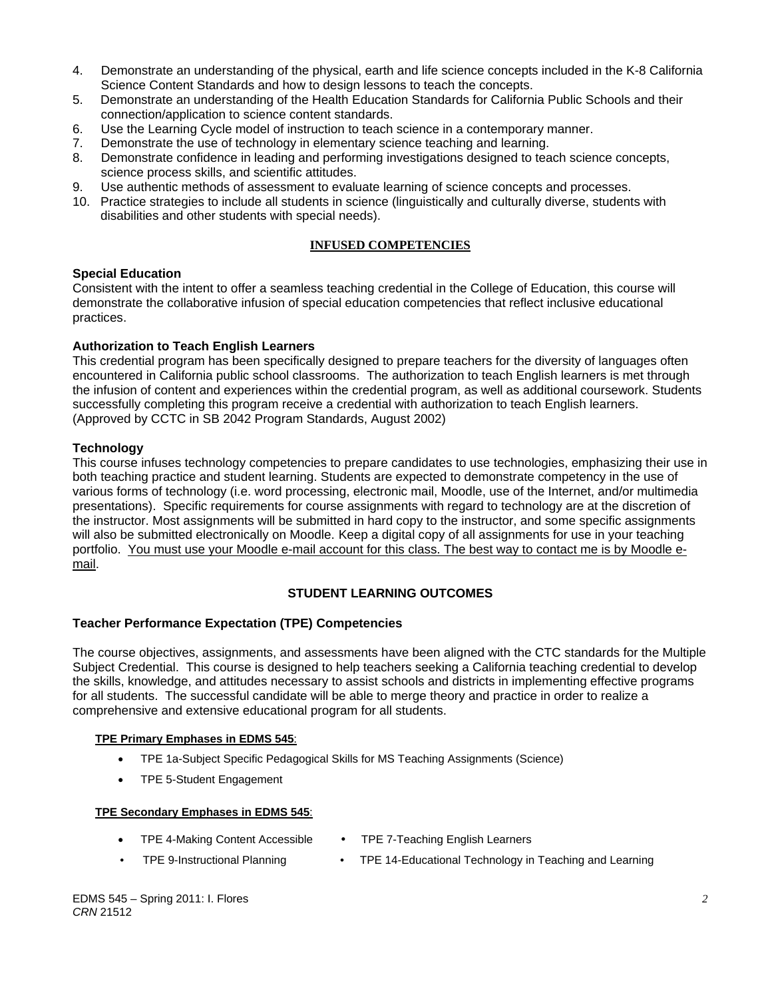- 4. Demonstrate an understanding of the physical, earth and life science concepts included in the K-8 California Science Content Standards and how to design lessons to teach the concepts.
- 5. Demonstrate an understanding of the Health Education Standards for California Public Schools and their connection/application to science content standards.
- 6. Use the Learning Cycle model of instruction to teach science in a contemporary manner.
- 7. Demonstrate the use of technology in elementary science teaching and learning.
- 8. Demonstrate confidence in leading and performing investigations designed to teach science concepts, science process skills, and scientific attitudes.
- 9. Use authentic methods of assessment to evaluate learning of science concepts and processes.
- 10. Practice strategies to include all students in science (linguistically and culturally diverse, students with disabilities and other students with special needs).

# **INFUSED COMPETENCIES**

# **Special Education**

Consistent with the intent to offer a seamless teaching credential in the College of Education, this course will demonstrate the collaborative infusion of special education competencies that reflect inclusive educational practices.

# **Authorization to Teach English Learners**

This credential program has been specifically designed to prepare teachers for the diversity of languages often encountered in California public school classrooms. The authorization to teach English learners is met through the infusion of content and experiences within the credential program, as well as additional coursework. Students successfully completing this program receive a credential with authorization to teach English learners. (Approved by CCTC in SB 2042 Program Standards, August 2002)

# **Technology**

This course infuses technology competencies to prepare candidates to use technologies, emphasizing their use in both teaching practice and student learning. Students are expected to demonstrate competency in the use of various forms of technology (i.e. word processing, electronic mail, Moodle, use of the Internet, and/or multimedia presentations). Specific requirements for course assignments with regard to technology are at the discretion of the instructor. Most assignments will be submitted in hard copy to the instructor, and some specific assignments will also be submitted electronically on Moodle. Keep a digital copy of all assignments for use in your teaching portfolio. You must use your Moodle e-mail account for this class. The best way to contact me is by Moodle email.

# **STUDENT LEARNING OUTCOMES**

#### **Teacher Performance Expectation (TPE) Competencies**

The course objectives, assignments, and assessments have been aligned with the CTC standards for the Multiple Subject Credential. This course is designed to help teachers seeking a California teaching credential to develop the skills, knowledge, and attitudes necessary to assist schools and districts in implementing effective programs for all students. The successful candidate will be able to merge theory and practice in order to realize a comprehensive and extensive educational program for all students.

#### **TPE Primary Emphases in EDMS 545**:

- TPE 1a-Subject Specific Pedagogical Skills for MS Teaching Assignments (Science)
- TPE 5-Student Engagement

#### **TPE Secondary Emphases in EDMS 545**:

- TPE 4-Making Content Accessible
- TPE 7-Teaching English Learners
- TPE 9-Instructional Planning TPE 14-Educational Technology in Teaching and Learning
	-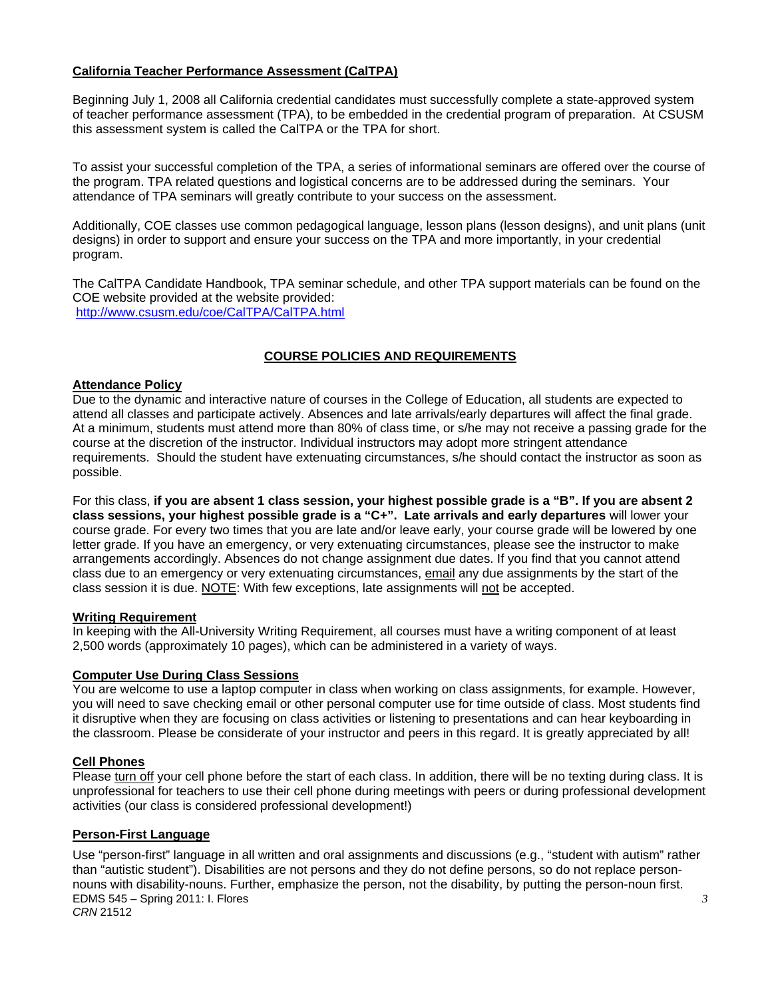# **California Teacher Performance Assessment (CalTPA)**

Beginning July 1, 2008 all California credential candidates must successfully complete a state-approved system of teacher performance assessment (TPA), to be embedded in the credential program of preparation. At CSUSM this assessment system is called the CalTPA or the TPA for short.

To assist your successful completion of the TPA, a series of informational seminars are offered over the course of the program. TPA related questions and logistical concerns are to be addressed during the seminars. Your attendance of TPA seminars will greatly contribute to your success on the assessment.

Additionally, COE classes use common pedagogical language, lesson plans (lesson designs), and unit plans (unit designs) in order to support and ensure your success on the TPA and more importantly, in your credential program.

The CalTPA Candidate Handbook, TPA seminar schedule, and other TPA support materials can be found on the COE website provided at the website provided: http://www.csusm.edu/coe/CalTPA/CalTPA.html

# **COURSE POLICIES AND REQUIREMENTS**

# **Attendance Policy**

Due to the dynamic and interactive nature of courses in the College of Education, all students are expected to attend all classes and participate actively. Absences and late arrivals/early departures will affect the final grade. At a minimum, students must attend more than 80% of class time, or s/he may not receive a passing grade for the course at the discretion of the instructor. Individual instructors may adopt more stringent attendance requirements. Should the student have extenuating circumstances, s/he should contact the instructor as soon as possible.

For this class, **if you are absent 1 class session, your highest possible grade is a "B". If you are absent 2 class sessions, your highest possible grade is a "C+". Late arrivals and early departures** will lower your course grade. For every two times that you are late and/or leave early, your course grade will be lowered by one letter grade. If you have an emergency, or very extenuating circumstances, please see the instructor to make arrangements accordingly. Absences do not change assignment due dates. If you find that you cannot attend class due to an emergency or very extenuating circumstances, email any due assignments by the start of the class session it is due. NOTE: With few exceptions, late assignments will not be accepted.

#### **Writing Requirement**

In keeping with the All-University Writing Requirement, all courses must have a writing component of at least 2,500 words (approximately 10 pages), which can be administered in a variety of ways.

#### **Computer Use During Class Sessions**

You are welcome to use a laptop computer in class when working on class assignments, for example. However, you will need to save checking email or other personal computer use for time outside of class. Most students find it disruptive when they are focusing on class activities or listening to presentations and can hear keyboarding in the classroom. Please be considerate of your instructor and peers in this regard. It is greatly appreciated by all!

#### **Cell Phones**

Please turn off your cell phone before the start of each class. In addition, there will be no texting during class. It is unprofessional for teachers to use their cell phone during meetings with peers or during professional development activities (our class is considered professional development!)

#### **Person-First Language**

Use "person-first" language in all written and oral assignments and discussions (e.g., "student with autism" rather than "autistic student"). Disabilities are not persons and they do not define persons, so do not replace personnouns with disability-nouns. Further, emphasize the person, not the disability, by putting the person-noun first. EDMS 545 – Spring 2011: I. Flores *CRN* 21512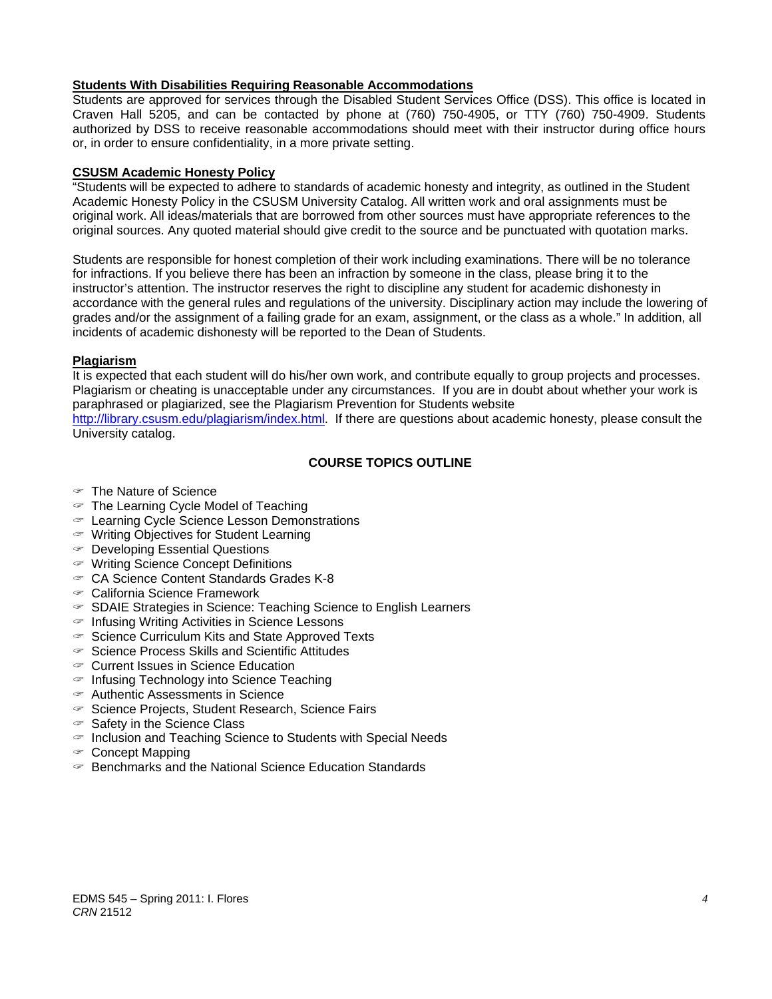# **Students With Disabilities Requiring Reasonable Accommodations**

Students are approved for services through the Disabled Student Services Office (DSS). This office is located in Craven Hall 5205, and can be contacted by phone at (760) 750-4905, or TTY (760) 750-4909. Students authorized by DSS to receive reasonable accommodations should meet with their instructor during office hours or, in order to ensure confidentiality, in a more private setting.

### **CSUSM Academic Honesty Policy**

"Students will be expected to adhere to standards of academic honesty and integrity, as outlined in the Student Academic Honesty Policy in the CSUSM University Catalog. All written work and oral assignments must be original work. All ideas/materials that are borrowed from other sources must have appropriate references to the original sources. Any quoted material should give credit to the source and be punctuated with quotation marks.

Students are responsible for honest completion of their work including examinations. There will be no tolerance for infractions. If you believe there has been an infraction by someone in the class, please bring it to the instructor's attention. The instructor reserves the right to discipline any student for academic dishonesty in accordance with the general rules and regulations of the university. Disciplinary action may include the lowering of grades and/or the assignment of a failing grade for an exam, assignment, or the class as a whole." In addition, all incidents of academic dishonesty will be reported to the Dean of Students.

# **Plagiarism**

It is expected that each student will do his/her own work, and contribute equally to group projects and processes. Plagiarism or cheating is unacceptable under any circumstances. If you are in doubt about whether your work is paraphrased or plagiarized, see the Plagiarism Prevention for Students website

http://library.csusm.edu/plagiarism/index.html. If there are questions about academic honesty, please consult the University catalog.

# **COURSE TOPICS OUTLINE**

- The Nature of Science
- $\in$  The Learning Cycle Model of Teaching
- Learning Cycle Science Lesson Demonstrations
- Writing Objectives for Student Learning
- Developing Essential Questions
- Writing Science Concept Definitions
- CA Science Content Standards Grades K-8
- California Science Framework
- $\in$  SDAIE Strategies in Science: Teaching Science to English Learners
- $\in$  Infusing Writing Activities in Science Lessons
- $\infty$  Science Curriculum Kits and State Approved Texts
- $\infty$  Science Process Skills and Scientific Attitudes
- Current Issues in Science Education
- $\in$  Infusing Technology into Science Teaching
- Authentic Assessments in Science
- $\infty$  Science Projects, Student Research, Science Fairs
- $\in$  Safety in the Science Class
- $\in$  Inclusion and Teaching Science to Students with Special Needs
- Concept Mapping
- $\in$  Benchmarks and the National Science Education Standards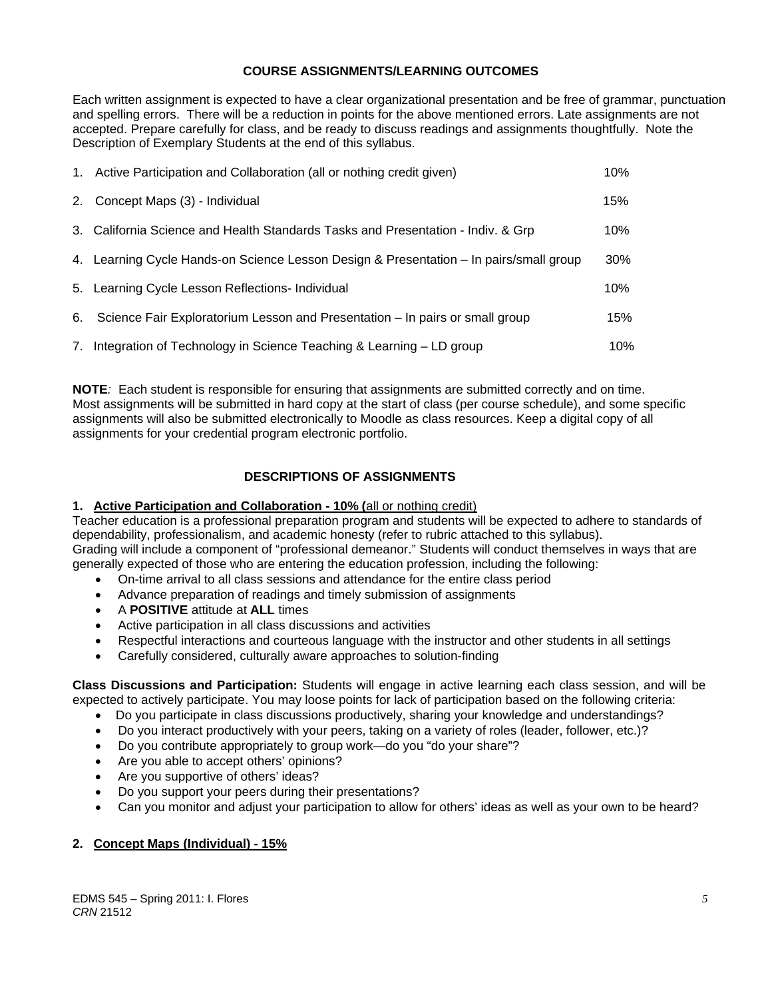# **COURSE ASSIGNMENTS/LEARNING OUTCOMES**

Each written assignment is expected to have a clear organizational presentation and be free of grammar, punctuation and spelling errors. There will be a reduction in points for the above mentioned errors. Late assignments are not accepted. Prepare carefully for class, and be ready to discuss readings and assignments thoughtfully. Note the Description of Exemplary Students at the end of this syllabus.

| 1. Active Participation and Collaboration (all or nothing credit given)                | 10% |
|----------------------------------------------------------------------------------------|-----|
| 2. Concept Maps (3) - Individual                                                       | 15% |
| 3. California Science and Health Standards Tasks and Presentation - Indiv. & Grp       | 10% |
| 4. Learning Cycle Hands-on Science Lesson Design & Presentation – In pairs/small group | 30% |
| 5. Learning Cycle Lesson Reflections- Individual                                       | 10% |
| 6. Science Fair Exploratorium Lesson and Presentation – In pairs or small group        | 15% |
| 7. Integration of Technology in Science Teaching & Learning - LD group                 | 10% |

**NOTE***:* Each student is responsible for ensuring that assignments are submitted correctly and on time. Most assignments will be submitted in hard copy at the start of class (per course schedule), and some specific assignments will also be submitted electronically to Moodle as class resources. Keep a digital copy of all assignments for your credential program electronic portfolio.

# **DESCRIPTIONS OF ASSIGNMENTS**

# **1. Active Participation and Collaboration - 10% (**all or nothing credit)

Teacher education is a professional preparation program and students will be expected to adhere to standards of dependability, professionalism, and academic honesty (refer to rubric attached to this syllabus). Grading will include a component of "professional demeanor." Students will conduct themselves in ways that are generally expected of those who are entering the education profession, including the following:

- On-time arrival to all class sessions and attendance for the entire class period
- Advance preparation of readings and timely submission of assignments
- A **POSITIVE** attitude at **ALL** times
- Active participation in all class discussions and activities
- Respectful interactions and courteous language with the instructor and other students in all settings
- Carefully considered, culturally aware approaches to solution-finding

**Class Discussions and Participation:** Students will engage in active learning each class session, and will be expected to actively participate. You may loose points for lack of participation based on the following criteria:

- Do you participate in class discussions productively, sharing your knowledge and understandings?
- Do you interact productively with your peers, taking on a variety of roles (leader, follower, etc.)?
- Do you contribute appropriately to group work—do you "do your share"?
- Are you able to accept others' opinions?
- Are you supportive of others' ideas?
- Do you support your peers during their presentations?
- Can you monitor and adjust your participation to allow for others' ideas as well as your own to be heard?

# **2. Concept Maps (Individual) - 15%**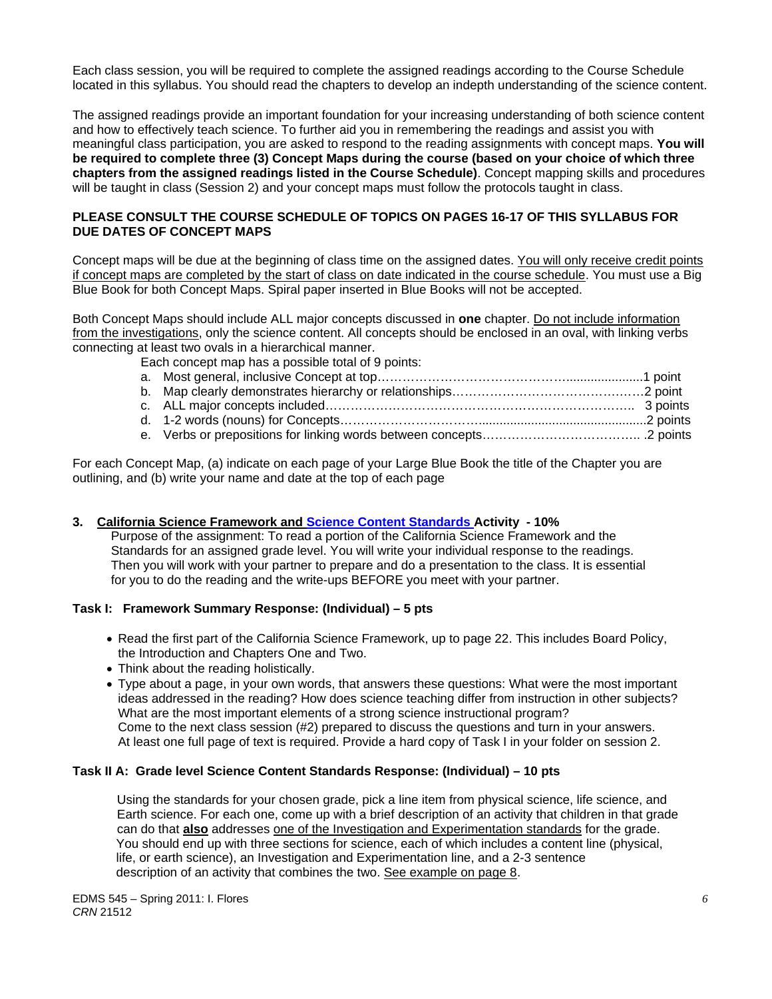Each class session, you will be required to complete the assigned readings according to the Course Schedule located in this syllabus. You should read the chapters to develop an indepth understanding of the science content.

The assigned readings provide an important foundation for your increasing understanding of both science content and how to effectively teach science. To further aid you in remembering the readings and assist you with meaningful class participation, you are asked to respond to the reading assignments with concept maps. **You will be required to complete three (3) Concept Maps during the course (based on your choice of which three chapters from the assigned readings listed in the Course Schedule)**. Concept mapping skills and procedures will be taught in class (Session 2) and your concept maps must follow the protocols taught in class.

# **PLEASE CONSULT THE COURSE SCHEDULE OF TOPICS ON PAGES 16-17 OF THIS SYLLABUS FOR DUE DATES OF CONCEPT MAPS**

Concept maps will be due at the beginning of class time on the assigned dates. You will only receive credit points if concept maps are completed by the start of class on date indicated in the course schedule. You must use a Big Blue Book for both Concept Maps. Spiral paper inserted in Blue Books will not be accepted.

Both Concept Maps should include ALL major concepts discussed in **one** chapter. Do not include information from the investigations, only the science content. All concepts should be enclosed in an oval, with linking verbs connecting at least two ovals in a hierarchical manner.

Each concept map has a possible total of 9 points:

For each Concept Map, (a) indicate on each page of your Large Blue Book the title of the Chapter you are outlining, and (b) write your name and date at the top of each page

# **3. California Science Framework and Science Content Standards Activity - 10%**

 Purpose of the assignment: To read a portion of the California Science Framework and the Standards for an assigned grade level. You will write your individual response to the readings. Then you will work with your partner to prepare and do a presentation to the class. It is essential for you to do the reading and the write-ups BEFORE you meet with your partner.

#### **Task I: Framework Summary Response: (Individual) – 5 pts**

- Read the first part of the California Science Framework, up to page 22. This includes Board Policy, the Introduction and Chapters One and Two.
- Think about the reading holistically.
- Type about a page, in your own words, that answers these questions: What were the most important ideas addressed in the reading? How does science teaching differ from instruction in other subjects? What are the most important elements of a strong science instructional program? Come to the next class session (#2) prepared to discuss the questions and turn in your answers. At least one full page of text is required. Provide a hard copy of Task I in your folder on session 2.

#### **Task II A: Grade level Science Content Standards Response: (Individual) – 10 pts**

 Using the standards for your chosen grade, pick a line item from physical science, life science, and Earth science. For each one, come up with a brief description of an activity that children in that grade can do that **also** addresses one of the Investigation and Experimentation standards for the grade. You should end up with three sections for science, each of which includes a content line (physical, life, or earth science), an Investigation and Experimentation line, and a 2-3 sentence description of an activity that combines the two. See example on page 8.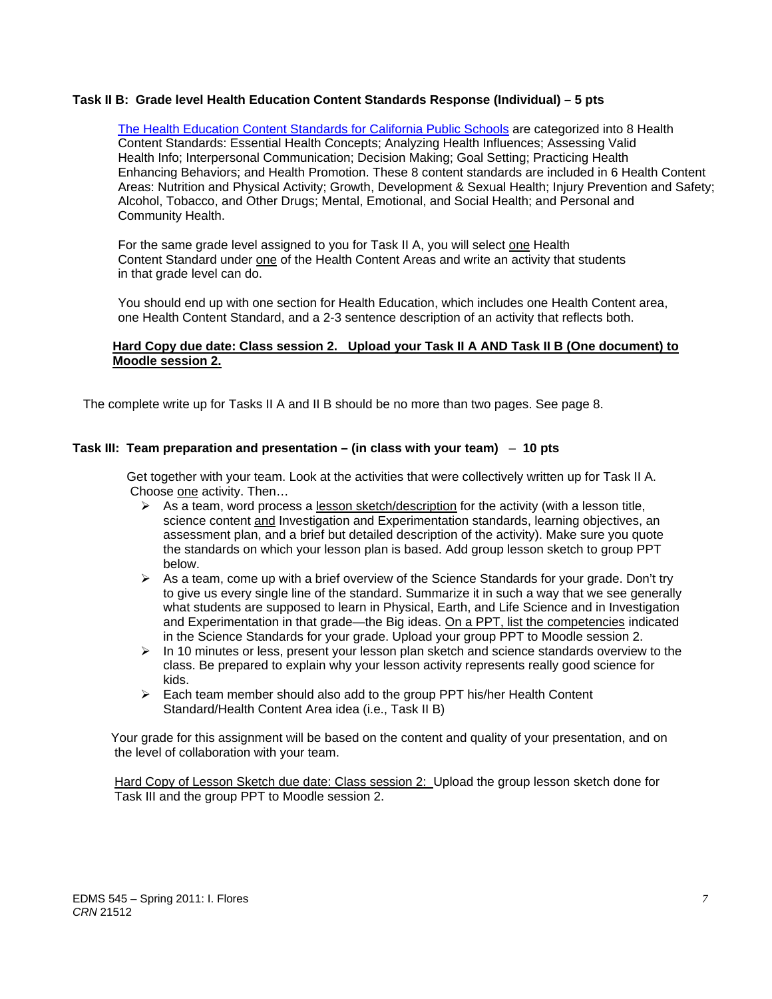### **Task II B: Grade level Health Education Content Standards Response (Individual) – 5 pts**

Enhancing Behaviors; and Health Promotion. These 8 content standards are included in 6 Health Content Alcohol, Tobacco, and Other Drugs; Mental, Emotional, and Social Health; and Personal and The Health Education Content Standards for California Public Schools are categorized into 8 Health Content Standards: Essential Health Concepts; Analyzing Health Influences; Assessing Valid Health Info; Interpersonal Communication; Decision Making; Goal Setting; Practicing Health Areas: Nutrition and Physical Activity; Growth, Development & Sexual Health; Injury Prevention and Safety; Community Health.

For the same grade level assigned to you for Task II A, you will select one Health Content Standard under one of the Health Content Areas and write an activity that students in that grade level can do.

You should end up with one section for Health Education, which includes one Health Content area, one Health Content Standard, and a 2-3 sentence description of an activity that reflects both.

### **Hard Copy due date: Class session 2. Upload your Task II A AND Task II B (One document) to Moodle session 2.**

The complete write up for Tasks II A and II B should be no more than two pages. See page 8.

#### **Task III: Team preparation and presentation – (in class with your team)** – **10 pts**

 Get together with your team. Look at the activities that were collectively written up for Task II A. Choose one activity. Then…

- $\triangleright$  As a team, word process a lesson sketch/description for the activity (with a lesson title, science content and Investigation and Experimentation standards, learning objectives, an assessment plan, and a brief but detailed description of the activity). Make sure you quote the standards on which your lesson plan is based. Add group lesson sketch to group PPT below.
- $\triangleright$  As a team, come up with a brief overview of the Science Standards for your grade. Don't try to give us every single line of the standard. Summarize it in such a way that we see generally what students are supposed to learn in Physical, Earth, and Life Science and in Investigation and Experimentation in that grade—the Big ideas. On a PPT, list the competencies indicated in the Science Standards for your grade. Upload your group PPT to Moodle session 2.
- $\triangleright$  In 10 minutes or less, present your lesson plan sketch and science standards overview to the class. Be prepared to explain why your lesson activity represents really good science for kids.
- $\triangleright$  Each team member should also add to the group PPT his/her Health Content Standard/Health Content Area idea (i.e., Task II B)

 Your grade for this assignment will be based on the content and quality of your presentation, and on the level of collaboration with your team.

 Hard Copy of Lesson Sketch due date: Class session 2: Upload the group lesson sketch done for Task III and the group PPT to Moodle session 2.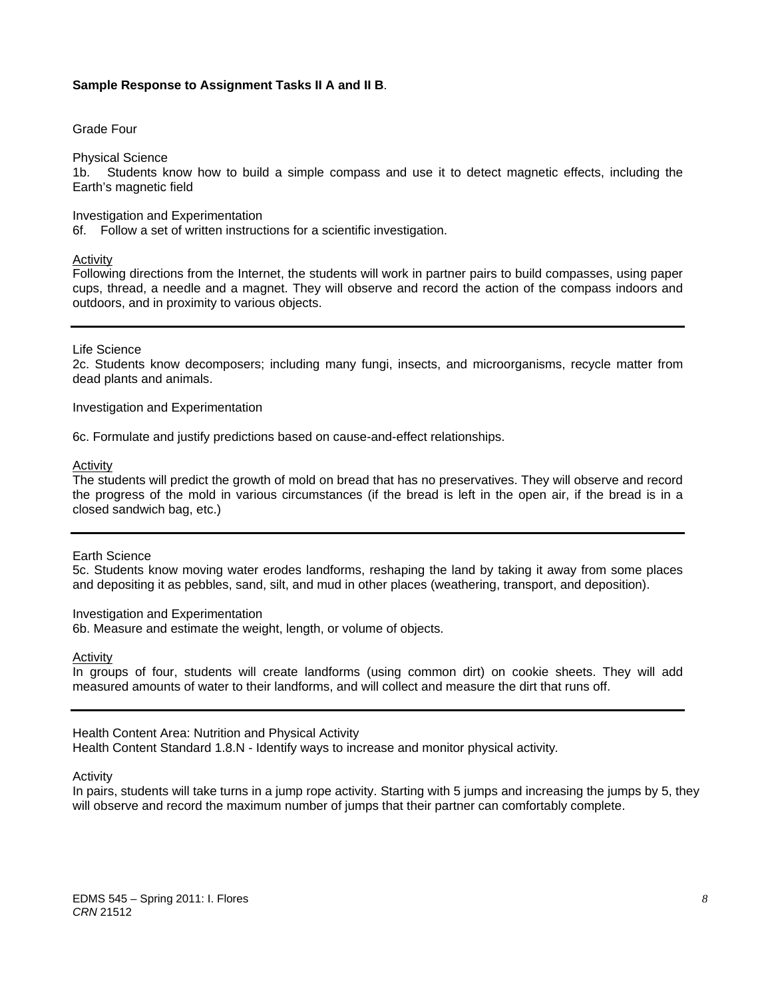#### **Sample Response to Assignment Tasks II A and II B**.

Grade Four

Physical Science

1b. Students know how to build a simple compass and use it to detect magnetic effects, including the Earth's magnetic field

#### Investigation and Experimentation

6f. Follow a set of written instructions for a scientific investigation.

#### Activity

Following directions from the Internet, the students will work in partner pairs to build compasses, using paper cups, thread, a needle and a magnet. They will observe and record the action of the compass indoors and outdoors, and in proximity to various objects.

#### Life Science

2c. Students know decomposers; including many fungi, insects, and microorganisms, recycle matter from dead plants and animals.

Investigation and Experimentation

6c. Formulate and justify predictions based on cause-and-effect relationships.

Activity

 the progress of the mold in various circumstances (if the bread is left in the open air, if the bread is in a The students will predict the growth of mold on bread that has no preservatives. They will observe and record closed sandwich bag, etc.)

#### Earth Science

5c. Students know moving water erodes landforms, reshaping the land by taking it away from some places and depositing it as pebbles, sand, silt, and mud in other places (weathering, transport, and deposition).

#### Investigation and Experimentation

6b. Measure and estimate the weight, length, or volume of objects.

Activity

In groups of four, students will create landforms (using common dirt) on cookie sheets. They will add measured amounts of water to their landforms, and will collect and measure the dirt that runs off.

#### Health Content Area: Nutrition and Physical Activity

Health Content Standard 1.8.N - Identify ways to increase and monitor physical activity*.* 

Activity

In pairs, students will take turns in a jump rope activity. Starting with 5 jumps and increasing the jumps by 5, they will observe and record the maximum number of jumps that their partner can comfortably complete.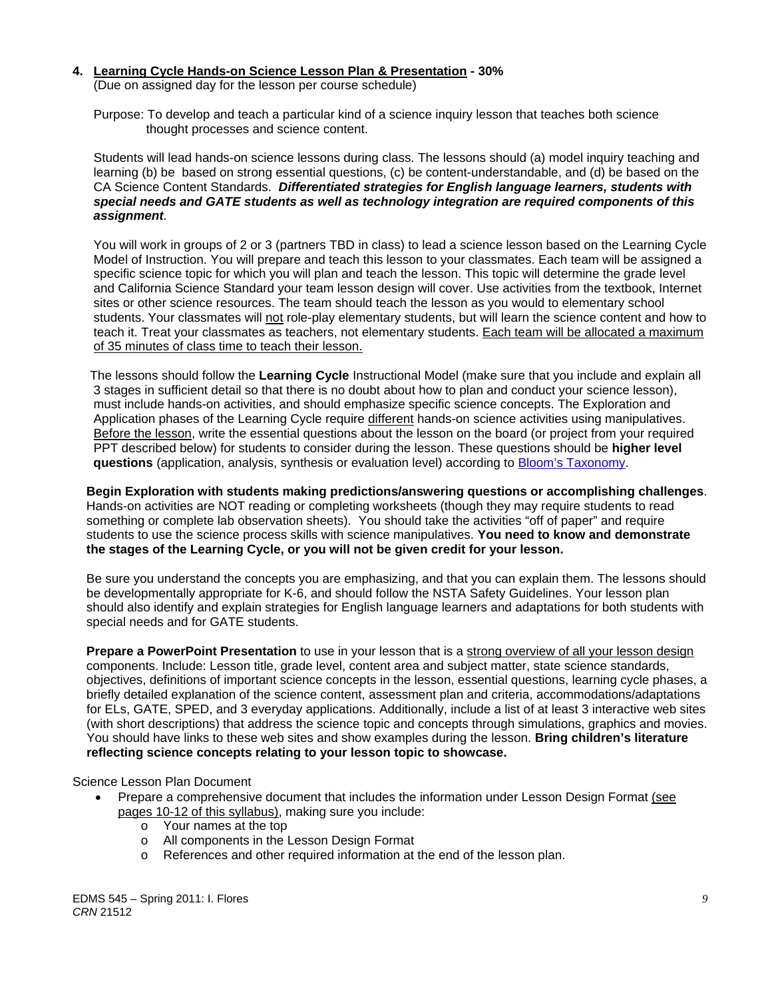#### **4. Learning Cycle Hands-on Science Lesson Plan & Presentation - 30%**

(Due on assigned day for the lesson per course schedule)

 Purpose: To develop and teach a particular kind of a science inquiry lesson that teaches both science thought processes and science content.

 Students will lead hands-on science lessons during class. The lessons should (a) model inquiry teaching and learning (b) be based on strong essential questions, (c) be content-understandable, and (d) be based on the CA Science Content Standards. *Differentiated strategies for English language learners, students with special needs and GATE students as well as technology integration are required components of this assignment.*

 You will work in groups of 2 or 3 (partners TBD in class) to lead a science lesson based on the Learning Cycle Model of Instruction. You will prepare and teach this lesson to your classmates. Each team will be assigned a specific science topic for which you will plan and teach the lesson. This topic will determine the grade level and California Science Standard your team lesson design will cover. Use activities from the textbook, Internet sites or other science resources. The team should teach the lesson as you would to elementary school students. Your classmates will not role-play elementary students, but will learn the science content and how to teach it. Treat your classmates as teachers, not elementary students. Each team will be allocated a maximum of 35 minutes of class time to teach their lesson.

 The lessons should follow the **Learning Cycle** Instructional Model (make sure that you include and explain all 3 stages in sufficient detail so that there is no doubt about how to plan and conduct your science lesson), must include hands-on activities, and should emphasize specific science concepts. The Exploration and Application phases of the Learning Cycle require different hands-on science activities using manipulatives. Before the lesson, write the essential questions about the lesson on the board (or project from your required PPT described below) for students to consider during the lesson. These questions should be **higher level questions** (application, analysis, synthesis or evaluation level) according to Bloom's Taxonomy.

**Begin Exploration with students making predictions/answering questions or accomplishing challenges**. Hands-on activities are NOT reading or completing worksheets (though they may require students to read something or complete lab observation sheets). You should take the activities "off of paper" and require students to use the science process skills with science manipulatives. **You need to know and demonstrate the stages of the Learning Cycle, or you will not be given credit for your lesson.**

 Be sure you understand the concepts you are emphasizing, and that you can explain them. The lessons should be developmentally appropriate for K-6, and should follow the NSTA Safety Guidelines. Your lesson plan should also identify and explain strategies for English language learners and adaptations for both students with special needs and for GATE students.

**Prepare a PowerPoint Presentation** to use in your lesson that is a strong overview of all your lesson design components. Include: Lesson title, grade level, content area and subject matter, state science standards, objectives, definitions of important science concepts in the lesson, essential questions, learning cycle phases, a briefly detailed explanation of the science content, assessment plan and criteria, accommodations/adaptations for ELs, GATE, SPED, and 3 everyday applications. Additionally, include a list of at least 3 interactive web sites (with short descriptions) that address the science topic and concepts through simulations, graphics and movies. You should have links to these web sites and show examples during the lesson. **Bring children's literature reflecting science concepts relating to your lesson topic to showcase.** 

#### Science Lesson Plan Document

- Prepare a comprehensive document that includes the information under Lesson Design Format (see pages 10-12 of this syllabus), making sure you include:
	- o Your names at the top
	- o All components in the Lesson Design Format
	- o References and other required information at the end of the lesson plan.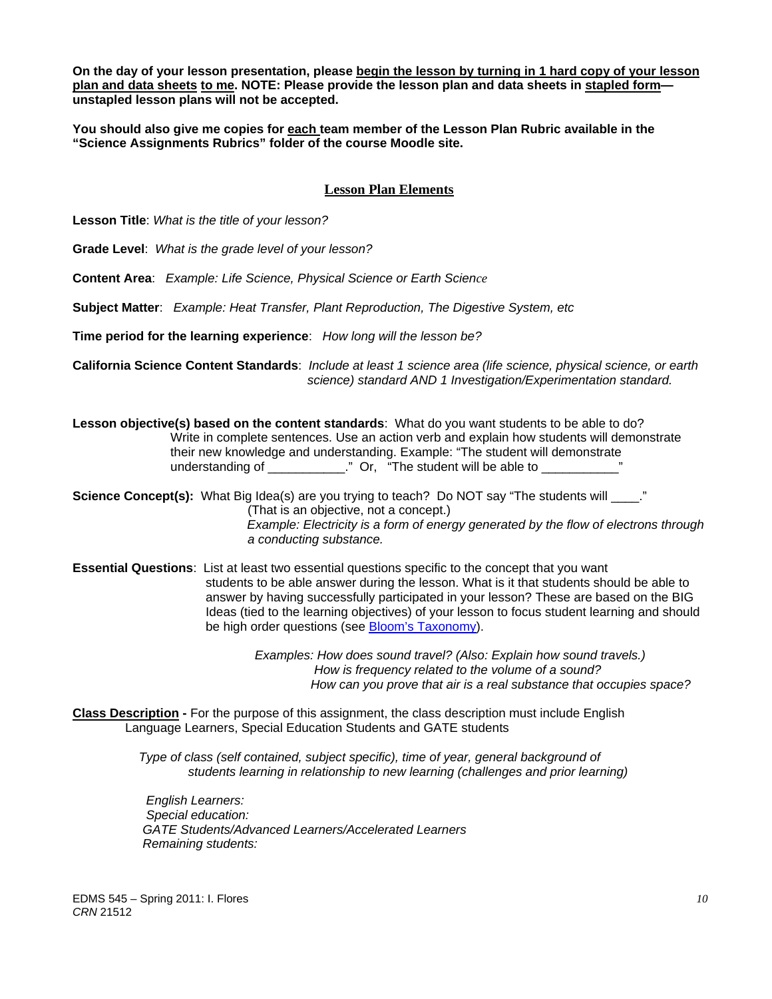**On the day of your lesson presentation, please begin the lesson by turning in 1 hard copy of your lesson plan and data sheets to me. NOTE: Please provide the lesson plan and data sheets in stapled form unstapled lesson plans will not be accepted.** 

**You should also give me copies for each team member of the Lesson Plan Rubric available in the "Science Assignments Rubrics" folder of the course Moodle site.** 

# **Lesson Plan Elements**

**Lesson Title**: *What is the title of your lesson?* 

**Grade Level**: *What is the grade level of your lesson?* 

**Content Area**: *Example: Life Science, Physical Science or Earth Science* 

**Subject Matter**: *Example: Heat Transfer, Plant Reproduction, The Digestive System, etc* 

**Time period for the learning experience**: *How long will the lesson be?* 

**California Science Content Standards**: *Include at least 1 science area (life science, physical science, or earth science) standard AND 1 Investigation/Experimentation standard.* 

**Lesson objective(s) based on the content standards**: What do you want students to be able to do? Write in complete sentences. Use an action verb and explain how students will demonstrate their new knowledge and understanding. Example: "The student will demonstrate understanding of \_\_\_\_\_\_\_\_\_\_\_\_." Or, "The student will be able to \_\_\_\_\_\_\_\_\_\_\_\_

**Science Concept(s):** What Big Idea(s) are you trying to teach? Do NOT say "The students will \_\_\_\_." (That is an objective, not a concept.) *Example: Electricity is a form of energy generated by the flow of electrons through a conducting substance.* 

 **Essential Questions**: List at least two essential questions specific to the concept that you want students to be able answer during the lesson. What is it that students should be able to answer by having successfully participated in your lesson? These are based on the BIG Ideas (tied to the learning objectives) of your lesson to focus student learning and should be high order questions (see Bloom's Taxonomy).

> *Examples: How does sound travel? (Also: Explain how sound travels.) How is frequency related to the volume of a sound? How can you prove that air is a real substance that occupies space?*

**Class Description -** For the purpose of this assignment, the class description must include English Language Learners, Special Education Students and GATE students

> *Type of class (self contained, subject specific), time of year, general background of students learning in relationship to new learning (challenges and prior learning)*

*English Learners: Special education: GATE Students/Advanced Learners/Accelerated Learners Remaining students:*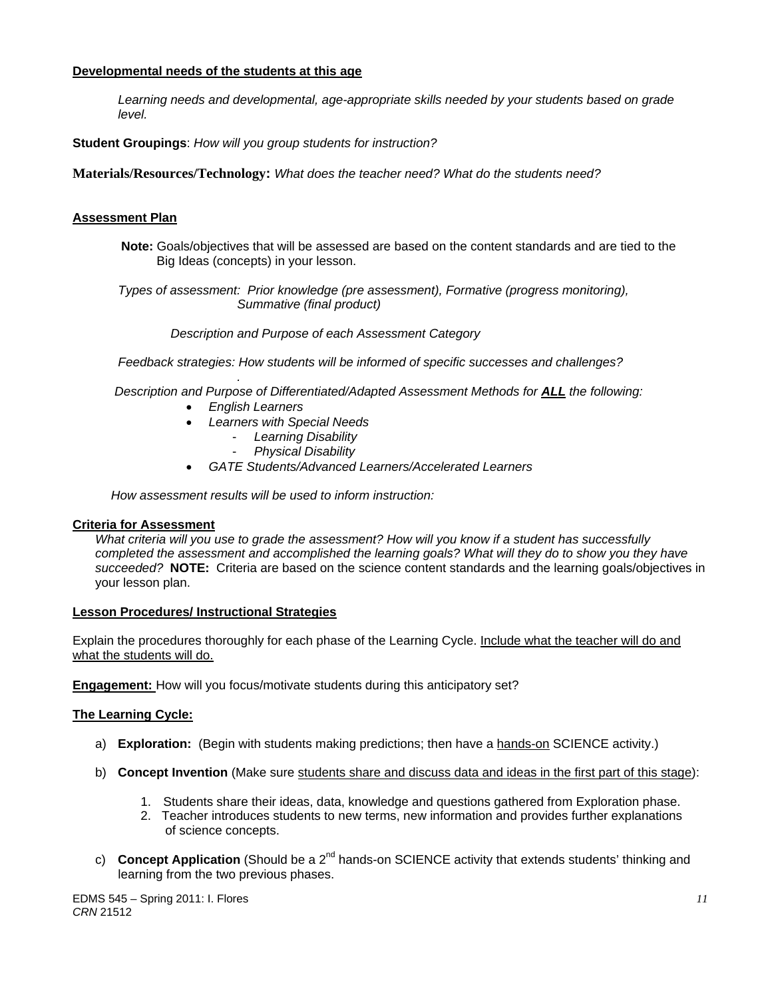# **Developmental needs of the students at this age**

*Learning needs and developmental, age-appropriate skills needed by your students based on grade level.* 

**Student Groupings**: *How will you group students for instruction?* 

**Materials/Resources/Technology:** *What does the teacher need? What do the students need?* 

# **Assessment Plan**

**Note:** Goals/objectives that will be assessed are based on the content standards and are tied to the Big Ideas (concepts) in your lesson.

 *Types of assessment: Prior knowledge (pre assessment), Formative (progress monitoring), Summative (final product)* 

 *Description and Purpose of each Assessment Category* 

 *Feedback strategies: How students will be informed of specific successes and challenges?* 

*. Description and Purpose of Differentiated/Adapted Assessment Methods for ALL the following:* 

- *English Learners*
- *Learners with Special Needs* 
	- *Learning Disability*
	- *Physical Disability*
- *GATE Students/Advanced Learners/Accelerated Learners*

 *How assessment results will be used to inform instruction:* 

#### **Criteria for Assessment**

 *succeeded?* **NOTE:** Criteria are based on the science content standards and the learning goals/objectives in *What criteria will you use to grade the assessment? How will you know if a student has successfully completed the assessment and accomplished the learning goals? What will they do to show you they have*  your lesson plan.

#### **Lesson Procedures/ Instructional Strategies**

what the students will do. Explain the procedures thoroughly for each phase of the Learning Cycle. Include what the teacher will do and

**Engagement:** How will you focus/motivate students during this anticipatory set?

#### **The Learning Cycle:**

- a) **Exploration:** (Begin with students making predictions; then have a hands-on SCIENCE activity.)
- b) **Concept Invention** (Make sure students share and discuss data and ideas in the first part of this stage):
	- 1. Students share their ideas, data, knowledge and questions gathered from Exploration phase.
	- 2. Teacher introduces students to new terms, new information and provides further explanations of science concepts.
- c) **Concept Application** (Should be a 2<sup>nd</sup> hands-on SCIENCE activity that extends students' thinking and learning from the two previous phases.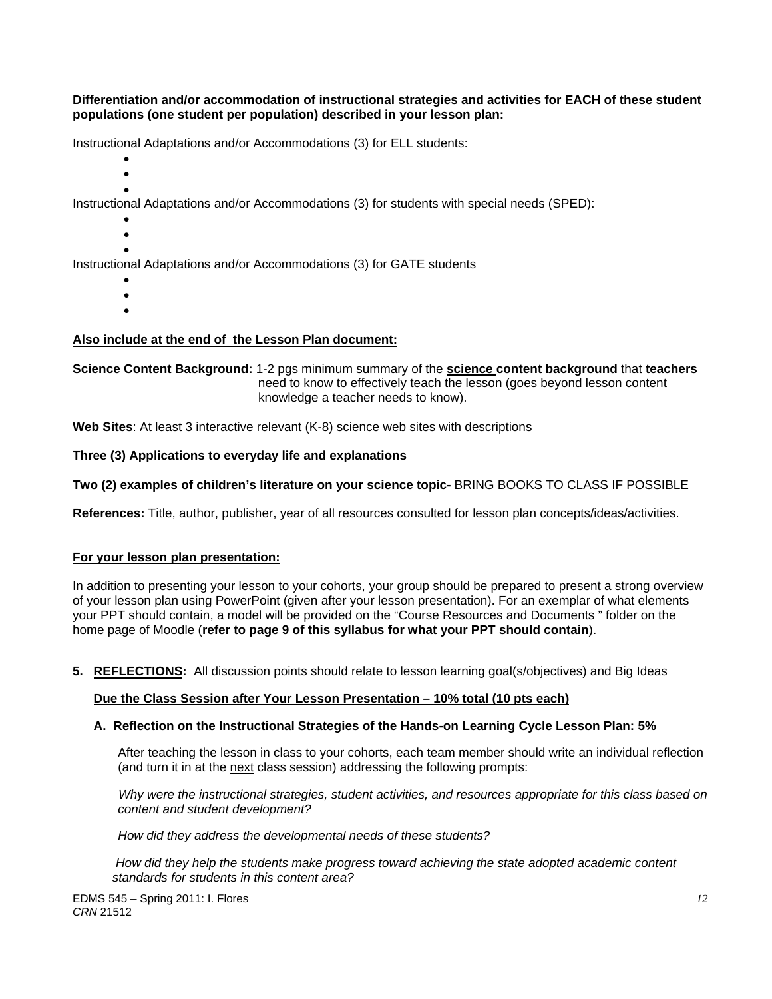**Differentiation and/or accommodation of instructional strategies and activities for EACH of these student populations (one student per population) described in your lesson plan:** 

Instructional Adaptations and/or Accommodations (3) for ELL students:

- $\bullet$
- $\bullet$  $\bullet$

Instructional Adaptations and/or Accommodations (3) for students with special needs (SPED):

- $\bullet$
- $\bullet$

 $\bullet$ Instructional Adaptations and/or Accommodations (3) for GATE students

- $\bullet$
- $\bullet$
- $\bullet$

# **Also include at the end of the Lesson Plan document:**

**Science Content Background:** 1-2 pgs minimum summary of the **science content background** that **teachers** need to know to effectively teach the lesson (goes beyond lesson content knowledge a teacher needs to know).

**Web Sites**: At least 3 interactive relevant (K-8) science web sites with descriptions

Three (3) Applications to everyday life and explanations

Two (2) examples of children's literature on your science topic- BRING BOOKS TO CLASS IF POSSIBLE

**References:** Title, author, publisher, year of all resources consulted for lesson plan concepts/ideas/activities.

#### **For your lesson plan presentation:**

In addition to presenting your lesson to your cohorts, your group should be prepared to present a strong overview of your lesson plan using PowerPoint (given after your lesson presentation). For an exemplar of what elements your PPT should contain, a model will be provided on the "Course Resources and Documents " folder on the home page of Moodle (**refer to page 9 of this syllabus for what your PPT should contain**).

**5. REFLECTIONS:** All discussion points should relate to lesson learning goal(s/objectives) and Big Ideas

#### **Due the Class Session after Your Lesson Presentation – 10% total (10 pts each)**

#### **A. Reflection on the Instructional Strategies of the Hands-on Learning Cycle Lesson Plan: 5%**

After teaching the lesson in class to your cohorts, <u>each</u> team member should write an individual reflection (and turn it in at the <u>next</u> class session) addressing the following prompts:

content and student development?  *Why were the instructional strategies, student activities, and resources appropriate for this class based on* 

*content and student development? How did they address the developmental needs of these students?*

 *standards for students in this content area? How did they help the students make progress toward achieving the state adopted academic content*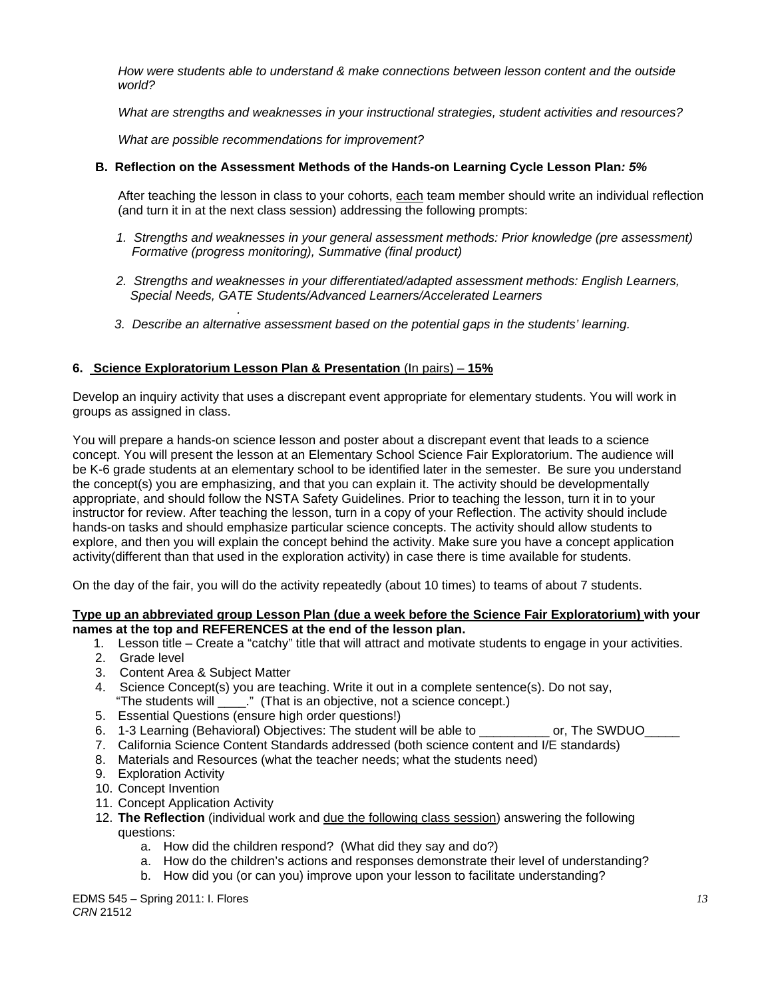*How were students able to understand & make connections between lesson content and the outside world?* 

*What are strengths and weaknesses in your instructional strategies, student activities and resources?* 

 *What are possible recommendations for improvement?* 

# **B. Reflection on the Assessment Methods of the Hands-on Learning Cycle Lesson Plan***: 5%*

After teaching the lesson in class to your cohorts, each team member should write an individual reflection (and turn it in at the next class session) addressing the following prompts:

- 1. Strengths and weaknesses in your general assessment methods: Prior knowledge (pre assessment)  *Formative (progress monitoring), Summative (final product)*
- *2. Strengths and weaknesses in your differentiated/adapted assessment methods: English Learners, Special Needs, GATE Students/Advanced Learners/Accelerated Learners*
- *. 3. Describe an alternative assessment based on the potential gaps in the students' learning.*

# **6. Science Exploratorium Lesson Plan & Presentation** (In pairs) – **15%**

Develop an inquiry activity that uses a discrepant event appropriate for elementary students. You will work in groups as assigned in class.

You will prepare a hands-on science lesson and poster about a discrepant event that leads to a science concept. You will present the lesson at an Elementary School Science Fair Exploratorium. The audience will be K-6 grade students at an elementary school to be identified later in the semester. Be sure you understand the concept(s) you are emphasizing, and that you can explain it. The activity should be developmentally appropriate, and should follow the NSTA Safety Guidelines. Prior to teaching the lesson, turn it in to your instructor for review. After teaching the lesson, turn in a copy of your Reflection. The activity should include hands-on tasks and should emphasize particular science concepts. The activity should allow students to explore, and then you will explain the concept behind the activity. Make sure you have a concept application activity(different than that used in the exploration activity) in case there is time available for students.

On the day of the fair, you will do the activity repeatedly (about 10 times) to teams of about 7 students.

#### **Type up an abbreviated group Lesson Plan (due a week before the Science Fair Exploratorium) with your names at the top and REFERENCES at the end of the lesson plan.**

- 1. Lesson title Create a "catchy" title that will attract and motivate students to engage in your activities.
- 2. Grade level
- 3. Content Area & Subject Matter
- 4. Science Concept(s) you are teaching. Write it out in a complete sentence(s). Do not say, "The students will \_\_\_\_." (That is an objective, not a science concept.)
- 5. Essential Questions (ensure high order questions!)
- 6. 1-3 Learning (Behavioral) Objectives: The student will be able to example or, The SWDUO
- 7. California Science Content Standards addressed (both science content and I/E standards)
- 8. Materials and Resources (what the teacher needs; what the students need)
- 9. Exploration Activity
- 10. Concept Invention
- 11. Concept Application Activity
- 12. **The Reflection** (individual work and due the following class session) answering the following questions:
	- a. How did the children respond? (What did they say and do?)
	- a. How do the children's actions and responses demonstrate their level of understanding?
	- b. How did you (or can you) improve upon your lesson to facilitate understanding?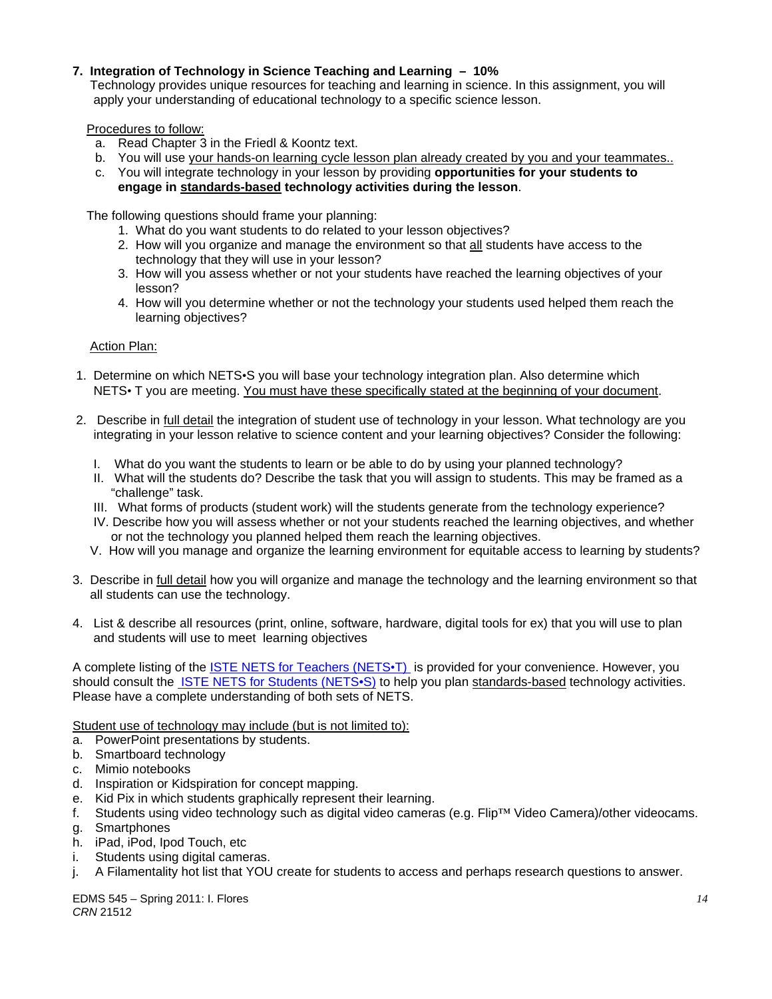# **7. Integration of Technology in Science Teaching and Learning – 10%**

 Technology provides unique resources for teaching and learning in science. In this assignment, you will apply your understanding of educational technology to a specific science lesson.

Procedures to follow:

- a. Read Chapter 3 in the Friedl & Koontz text.
- b. You will use your hands-on learning cycle lesson plan already created by you and your teammates..
- c. You will integrate technology in your lesson by providing **opportunities for your students to engage in standards-based technology activities during the lesson**.

The following questions should frame your planning:

- 1. What do you want students to do related to your lesson objectives?
- 2. How will you organize and manage the environment so that all students have access to the technology that they will use in your lesson?
- 3. How will you assess whether or not your students have reached the learning objectives of your lesson?
- 4. How will you determine whether or not the technology your students used helped them reach the learning objectives?

Action Plan:

- 1. Determine on which NETS•S you will base your technology integration plan. Also determine which NETS• T you are meeting. You must have these specifically stated at the beginning of your document.
- 2. Describe in full detail the integration of student use of technology in your lesson. What technology are you integrating in your lesson relative to science content and your learning objectives? Consider the following:
	- I. What do you want the students to learn or be able to do by using your planned technology?
	- II. What will the students do? Describe the task that you will assign to students. This may be framed as a "challenge" task.
	- III. What forms of products (student work) will the students generate from the technology experience?
	- IV. Describe how you will assess whether or not your students reached the learning objectives, and whether or not the technology you planned helped them reach the learning objectives.
	- V. How will you manage and organize the learning environment for equitable access to learning by students?
- 3. Describe in full detail how you will organize and manage the technology and the learning environment so that all students can use the technology.
- 4. List & describe all resources (print, online, software, hardware, digital tools for ex) that you will use to plan and students will use to meet learning objectives

A complete listing of the **ISTE NETS for Teachers (NETS**<sup>+</sup>T) is provided for your convenience. However, you should consult the ISTE NETS for Students (NETS•S) to help you plan standards-based technology activities. Please have a complete understanding of both sets of NETS.

Student use of technology may include (but is not limited to):

- a. PowerPoint presentations by students.
- b. Smartboard technology
- c. Mimio notebooks
- d. Inspiration or Kidspiration for concept mapping.
- e. Kid Pix in which students graphically represent their learning.
- f. Students using video technology such as digital video cameras (e.g. Flip™ Video Camera)/other videocams.
- g. Smartphones
- h. iPad, iPod, Ipod Touch, etc
- i. Students using digital cameras.
- j. A Filamentality hot list that YOU create for students to access and perhaps research questions to answer.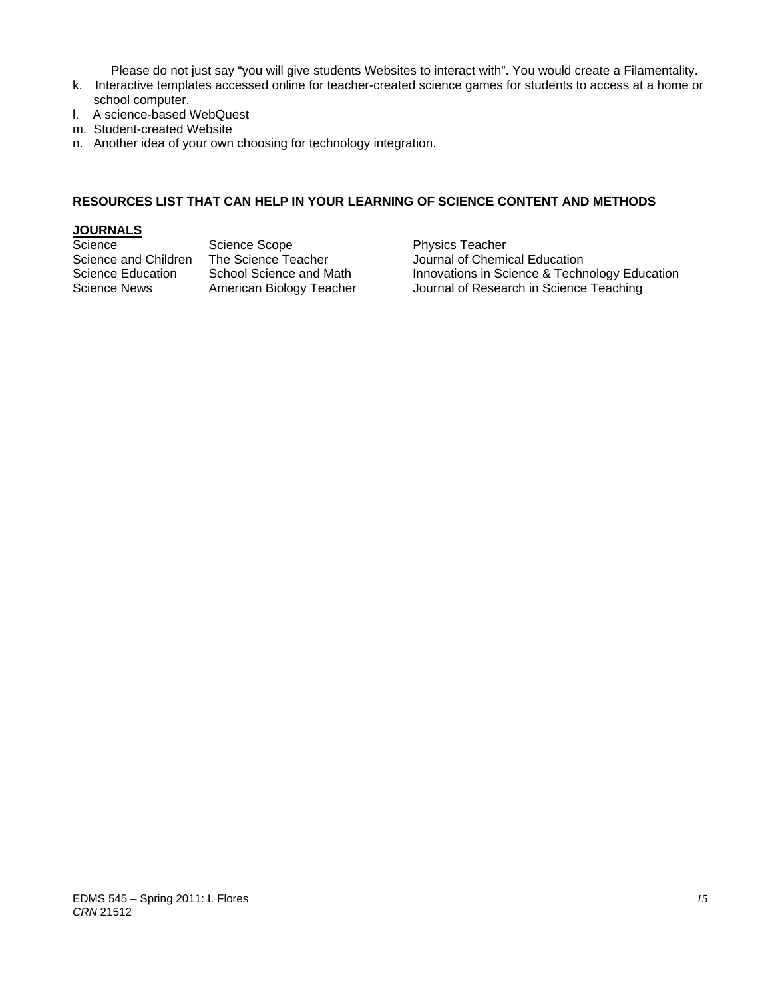Please do not just say "you will give students Websites to interact with". You would create a Filamentality.

- k. Interactive templates accessed online for teacher-created science games for students to access at a home or school computer.
- l. A science-based WebQuest
- m. Student-created Website
- n. Another idea of your own choosing for technology integration.

# **RESOURCES LIST THAT CAN HELP IN YOUR LEARNING OF SCIENCE CONTENT AND METHODS**

# **JOURNALS**

Science Scope Science Scope Physics Teacher<br>Science and Children The Science Teacher Science Journal of Chemic

The Science Teacher **Children Teacher** Journal of Chemical Education<br>School Science and Math **Innovations** in Science & Techn Science Education School Science and Math Innovations in Science & Technology Education Science News American Biology Teacher Journal of Research in Science Teaching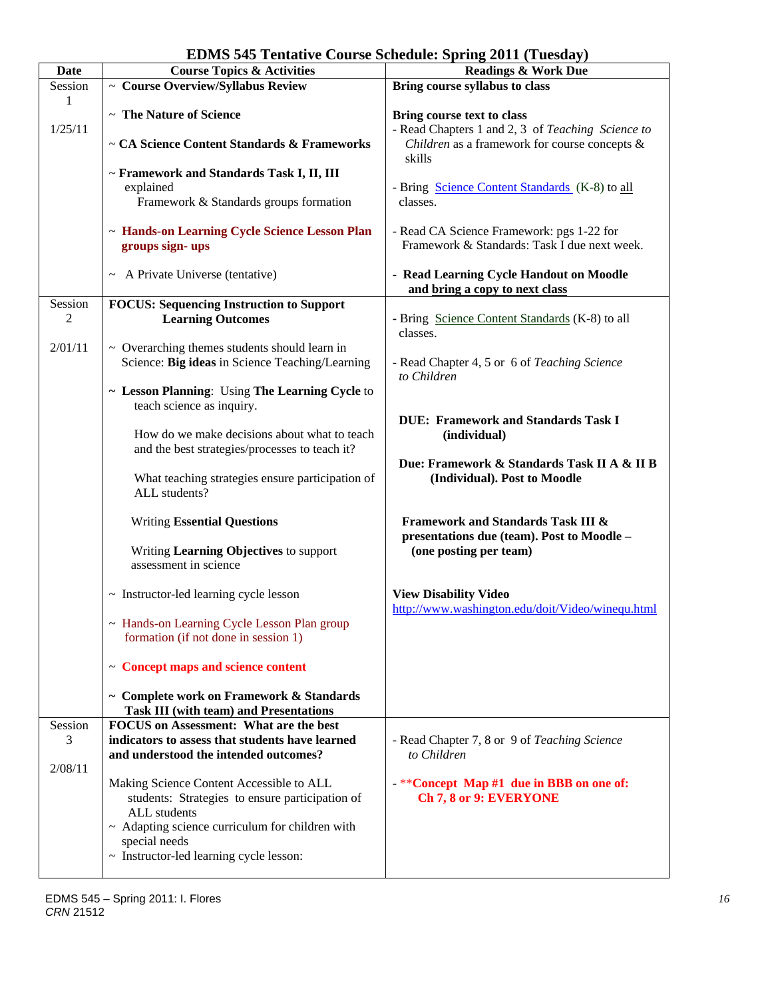| <b>EDMS 545 Tentative Course Schedule: Spring 2011 (Tuesday)</b> |  |  |  |  |  |  |
|------------------------------------------------------------------|--|--|--|--|--|--|
|------------------------------------------------------------------|--|--|--|--|--|--|

| <b>Date</b> | <b>Course Topics &amp; Activities</b>                | $\frac{1}{2}$ = $\frac{1}{2}$ ( $\frac{1}{2}$ acount $\frac{1}{2}$ )<br><b>Readings &amp; Work Due</b> |
|-------------|------------------------------------------------------|--------------------------------------------------------------------------------------------------------|
|             |                                                      |                                                                                                        |
| Session     | $\sim$ Course Overview/Syllabus Review               | Bring course syllabus to class                                                                         |
| 1           |                                                      |                                                                                                        |
|             | ~ The Nature of Science                              | Bring course text to class                                                                             |
| 1/25/11     |                                                      | - Read Chapters 1 and 2, 3 of Teaching Science to                                                      |
|             | ~ CA Science Content Standards & Frameworks          | Children as a framework for course concepts &                                                          |
|             |                                                      | skills                                                                                                 |
|             |                                                      |                                                                                                        |
|             | ~ Framework and Standards Task I, II, III            |                                                                                                        |
|             | explained                                            | - Bring Science Content Standards (K-8) to all                                                         |
|             | Framework & Standards groups formation               | classes.                                                                                               |
|             |                                                      |                                                                                                        |
|             | ~ Hands-on Learning Cycle Science Lesson Plan        | - Read CA Science Framework: pgs 1-22 for                                                              |
|             | groups sign-ups                                      | Framework & Standards: Task I due next week.                                                           |
|             |                                                      |                                                                                                        |
|             | ~ A Private Universe (tentative)                     | - Read Learning Cycle Handout on Moodle                                                                |
|             |                                                      |                                                                                                        |
|             |                                                      | and bring a copy to next class                                                                         |
| Session     | <b>FOCUS: Sequencing Instruction to Support</b>      |                                                                                                        |
| 2           | <b>Learning Outcomes</b>                             | - Bring Science Content Standards (K-8) to all                                                         |
|             |                                                      | classes.                                                                                               |
| 2/01/11     | $\sim$ Overarching themes students should learn in   |                                                                                                        |
|             | Science: Big ideas in Science Teaching/Learning      | - Read Chapter 4, 5 or 6 of Teaching Science                                                           |
|             |                                                      |                                                                                                        |
|             |                                                      | to Children                                                                                            |
|             | ~ Lesson Planning: Using The Learning Cycle to       |                                                                                                        |
|             | teach science as inquiry.                            |                                                                                                        |
|             |                                                      | <b>DUE: Framework and Standards Task I</b>                                                             |
|             | How do we make decisions about what to teach         | (individual)                                                                                           |
|             | and the best strategies/processes to teach it?       |                                                                                                        |
|             |                                                      | Due: Framework & Standards Task II A & II B                                                            |
|             |                                                      |                                                                                                        |
|             | What teaching strategies ensure participation of     | (Individual). Post to Moodle                                                                           |
|             | ALL students?                                        |                                                                                                        |
|             |                                                      |                                                                                                        |
|             | <b>Writing Essential Questions</b>                   | <b>Framework and Standards Task III &amp;</b>                                                          |
|             |                                                      | presentations due (team). Post to Moodle -                                                             |
|             | Writing Learning Objectives to support               | (one posting per team)                                                                                 |
|             | assessment in science                                |                                                                                                        |
|             |                                                      |                                                                                                        |
|             |                                                      |                                                                                                        |
|             | ~ Instructor-led learning cycle lesson               | <b>View Disability Video</b>                                                                           |
|             |                                                      | http://www.washington.edu/doit/Video/winequ.html                                                       |
|             | ~ Hands-on Learning Cycle Lesson Plan group          |                                                                                                        |
|             | formation (if not done in session 1)                 |                                                                                                        |
|             |                                                      |                                                                                                        |
|             | $\sim$ Concept maps and science content              |                                                                                                        |
|             |                                                      |                                                                                                        |
|             | ~ Complete work on Framework & Standards             |                                                                                                        |
|             |                                                      |                                                                                                        |
|             | <b>Task III (with team) and Presentations</b>        |                                                                                                        |
| Session     | FOCUS on Assessment: What are the best               |                                                                                                        |
| 3           | indicators to assess that students have learned      | - Read Chapter 7, 8 or 9 of Teaching Science                                                           |
|             | and understood the intended outcomes?                | to Children                                                                                            |
| 2/08/11     |                                                      |                                                                                                        |
|             | Making Science Content Accessible to ALL             | $-*$ <sup>*</sup> Concept Map #1 due in BBB on one of:                                                 |
|             | students: Strategies to ensure participation of      | Ch 7, 8 or 9: EVERYONE                                                                                 |
|             |                                                      |                                                                                                        |
|             | ALL students                                         |                                                                                                        |
|             | $\sim$ Adapting science curriculum for children with |                                                                                                        |
|             | special needs                                        |                                                                                                        |
|             | ~ Instructor-led learning cycle lesson:              |                                                                                                        |
|             |                                                      |                                                                                                        |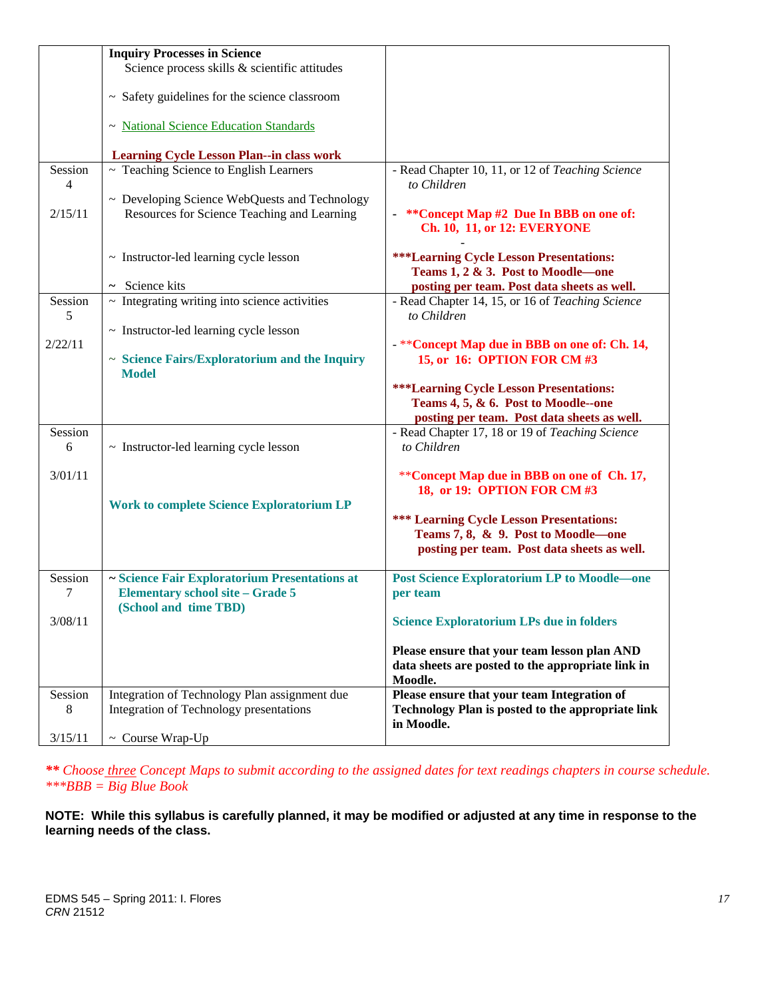|              | <b>Inquiry Processes in Science</b>                                                          |                                                                                                                |
|--------------|----------------------------------------------------------------------------------------------|----------------------------------------------------------------------------------------------------------------|
|              | Science process skills & scientific attitudes                                                |                                                                                                                |
|              | ~ Safety guidelines for the science classroom                                                |                                                                                                                |
|              | ~ National Science Education Standards                                                       |                                                                                                                |
|              | <b>Learning Cycle Lesson Plan--in class work</b>                                             |                                                                                                                |
| Session<br>4 | $\overline{\sim}$ Teaching Science to English Learners                                       | - Read Chapter 10, 11, or 12 of Teaching Science<br>to Children                                                |
| 2/15/11      | ~ Developing Science WebQuests and Technology<br>Resources for Science Teaching and Learning | **Concept Map #2 Due In BBB on one of:<br>Ch. 10, 11, or 12: EVERYONE                                          |
|              | ~ Instructor-led learning cycle lesson                                                       | <b>***Learning Cycle Lesson Presentations:</b><br>Teams 1, 2 & 3. Post to Moodle-one                           |
| Session<br>5 | $\sim$ Science kits<br>$\sim$ Integrating writing into science activities                    | posting per team. Post data sheets as well.<br>- Read Chapter 14, 15, or 16 of Teaching Science<br>to Children |
|              | $\sim$ Instructor-led learning cycle lesson                                                  |                                                                                                                |
| 2/22/11      | ~ Science Fairs/Exploratorium and the Inquiry<br><b>Model</b>                                | - ** Concept Map due in BBB on one of: Ch. 14,<br>15, or 16: OPTION FOR CM #3                                  |
|              |                                                                                              | <b>***Learning Cycle Lesson Presentations:</b>                                                                 |
|              |                                                                                              | Teams 4, 5, & 6. Post to Moodle--one                                                                           |
| Session      |                                                                                              | posting per team. Post data sheets as well.<br>- Read Chapter 17, 18 or 19 of Teaching Science                 |
| 6            | $\sim$ Instructor-led learning cycle lesson                                                  | to Children                                                                                                    |
| 3/01/11      |                                                                                              | **Concept Map due in BBB on one of Ch. 17,<br>18, or 19: OPTION FOR CM #3                                      |
|              | <b>Work to complete Science Exploratorium LP</b>                                             |                                                                                                                |
|              |                                                                                              | <b>*** Learning Cycle Lesson Presentations:</b>                                                                |
|              |                                                                                              | Teams 7, 8, & 9. Post to Moodle—one<br>posting per team. Post data sheets as well.                             |
| Session<br>7 | ~ Science Fair Exploratorium Presentations at<br><b>Elementary school site - Grade 5</b>     | <b>Post Science Exploratorium LP to Moodle-one</b><br>per team                                                 |
| 3/08/11      | (School and time TBD)                                                                        | <b>Science Exploratorium LPs due in folders</b>                                                                |
|              |                                                                                              | Please ensure that your team lesson plan AND<br>data sheets are posted to the appropriate link in<br>Moodle.   |
| Session<br>8 | Integration of Technology Plan assignment due<br>Integration of Technology presentations     | Please ensure that your team Integration of<br>Technology Plan is posted to the appropriate link<br>in Moodle. |
| 3/15/11      | ~ Course Wrap-Up                                                                             |                                                                                                                |

*\*\* Choose three Concept Maps to submit according to the assigned dates for text readings chapters in course schedule. \*\*\*BBB = Big Blue Book* 

**NOTE: While this syllabus is carefully planned, it may be modified or adjusted at any time in response to the learning needs of the class.**